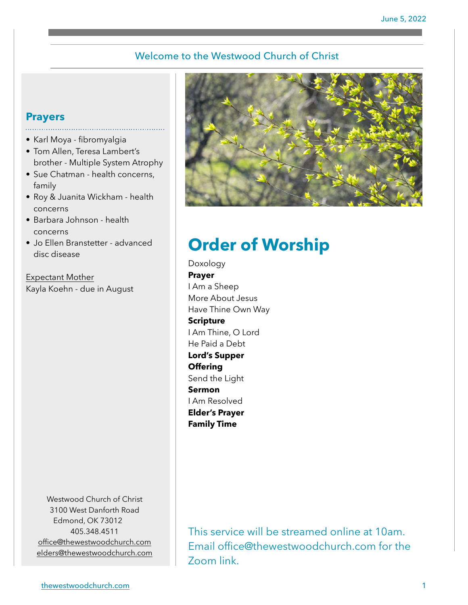## Welcome to the Westwood Church of Christ

### **Prayers**

- Karl Moya fibromyalgia
- Tom Allen, Teresa Lambert's brother - Multiple System Atrophy
- Sue Chatman health concerns, family
- Roy & Juanita Wickham health concerns
- Barbara Johnson health concerns
- Jo Ellen Branstetter advanced disc disease

Expectant Mother Kayla Koehn - due in August

> Westwood Church of Christ 3100 West Danforth Road Edmond, OK 73012 405.348.4511 [office@thewestwoodchurch.com](mailto:office@thewestwoodchurch.com) [elders@thewestwoodchurch.com](mailto:elders@thewestwoodchurch.com)



# **Order of Worship**

Doxology **Prayer** I Am a Sheep More About Jesus Have Thine Own Way **Scripture** I Am Thine, O Lord He Paid a Debt **Lord's Supper Offering** Send the Light **Sermon** I Am Resolved **Elder's Prayer Family Time**

This service will be streamed online at 10am. Email office@thewestwoodchurch.com for the Zoom link.